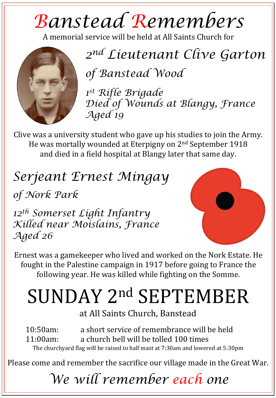## *Banstead Remembers*

A memorial service will be held at All Saints Church for



*2nd Lieutenant Clive Garton*

*of Banstead Wood* 

*1st Rifle Brigade Died of Wounds at Blangy, France Aged 19* 

Clive was a university student who gave up his studies to join the Army. He was mortally wounded at Eterpigny on 2<sup>nd</sup> September 1918 and died in a field hospital at Blangy later that same day.

*Serjeant Ernest Mingay*

*of Nork Park* 

*12th Somerset Light Infantry Killed near Moislains, France Aged 26*



Ernest was a gamekeeper who lived and worked on the Nork Estate. He fought in the Palestine campaign in 1917 before going to France the following year. He was killed while fighting on the Somme.

## SUNDAY 2nd SEPTEMBER

at All Saints Church, Banstead

10:50am: a short service of remembrance will be held  $11:00$ am: a church bell will be tolled  $100$  times The churchyard flag will be raised to half mast at 7:30am and lowered at 5:30pm

Please come and remember the sacrifice our village made in the Great War.

## *We will remember each one*